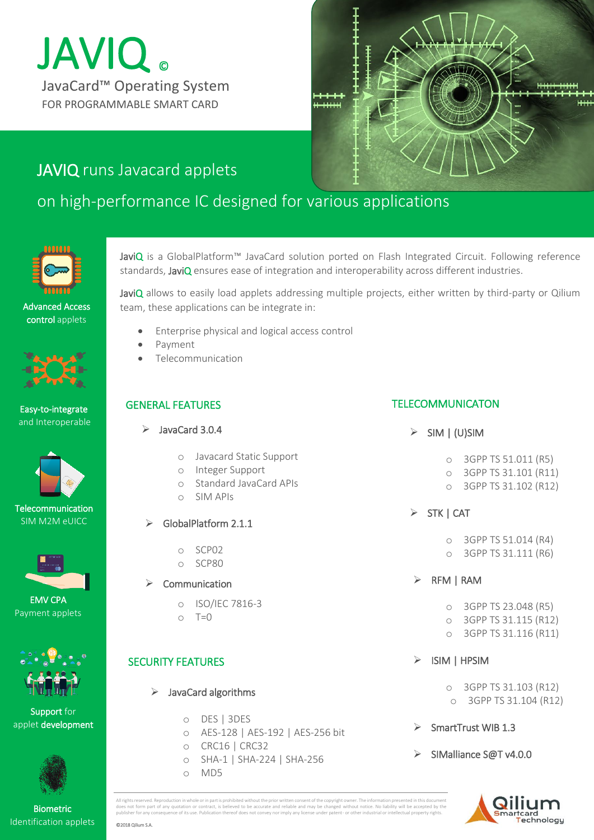# JavaCard™ Operating System JAVIQ ® FOR PROGRAMMABLE SMART CARD



# JAVIQ runs Javacard applets

# on high-performance IC designed for various applications



Advanced Access control applets







 SIM M2M eUICC **Telecommunication** 





Support for applet development



Biometric Identification applets JaviQ is a GlobalPlatform™ JavaCard solution ported on Flash Integrated Circuit. Following reference standards, JaviQ ensures ease of integration and interoperability across different industries.

JaviQ allows to easily load applets addressing multiple projects, either written by third-party or Qilium team, these applications can be integrate in:

- Enterprise physical and logical access control
- Payment
- Telecommunication

#### GENERAL FEATURES

- $\blacktriangleright$  JavaCard 3.0.4
	- o Javacard Static Support
	- o Integer Support
	- o Standard JavaCard APIs
	- o SIM APIs
	- GlobalPlatform 2.1.1
		- o SCP02
		- o SCP80
	- Communication
		- o ISO/IEC 7816-3
		- $\cap$  T= $\cap$

# SECURITY FEATURES

- $\triangleright$  JavaCard algorithms
	- o DES | 3DES
	- o AES-128 | AES-192 | AES-256 bit
	- o CRC16 | CRC32
	- o SHA-1 | SHA-224 | SHA-256
	- o MD5

## TELECOMMUNICATON

- $\triangleright$  SIM | (U)SIM
	- o 3GPP TS 51.011 (R5)
	- o 3GPP TS 31.101 (R11)
	- o 3GPP TS 31.102 (R12)
- $>$  STK | CAT
	- o 3GPP TS 51.014 (R4)
	- o 3GPP TS 31.111 (R6)
- $\triangleright$  RFM | RAM
	- o 3GPP TS 23.048 (R5)
	- o 3GPP TS 31.115 (R12)
	- o 3GPP TS 31.116 (R11)
- ISIM | HPSIM
	- o 3GPP TS 31.103 (R12) o 3GPP TS 31.104 (R12)
- SmartTrust WIB 1.3
- SIMalliance S@T v4.0.0



All rights reserved. Reproduction in whole or in part is prohibited without the prior written consent of the copyright owner. The information presented in this document does not form part of any quotation or contract, is believed to be accurate and reliable and may be changed without notice. No liability will be accepted by the<br>publisher for any consequence of its use. Publication thereof

©2018 Qilium S.A.